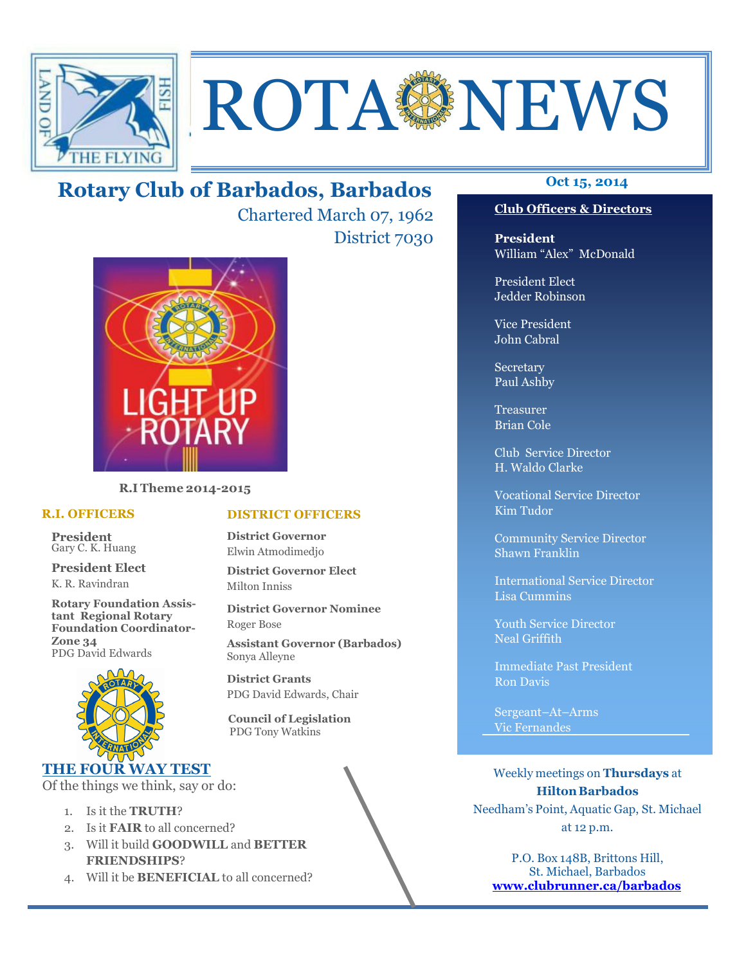

# **ROTA SENEWS**

# **Oct 15, 2014 Rotary Club of Barbados, Barbados**

Chartered March 07, 1962 District 7030



**R.I Theme 2014-2015** 

### **R.I. OFFICERS**

**President** Gary C. K. Huang

**President Elect** K. R. Ravindran

**Rotary Foundation Assistant Regional Rotary Foundation Coordinator-Zone 34**  PDG David Edwards



# **THE FOUR WAY TEST**

Of the things we think, say or do:

- 1. Is it the **TRUTH**?
- 2. Is it **FAIR** to all concerned?
- 3. Will it build **GOODWILL** and **BETTER FRIENDSHIPS**?
- 4. Will it be **BENEFICIAL** to all concerned?

# **Club Officers & Directors**

**President** William "Alex" McDonald

President Elect Jedder Robinson

Vice President John Cabral

Secretary Paul Ashby

Treasurer Brian Cole

Club Service Director H. Waldo Clarke

Vocational Service Director Kim Tudor

Community Service Director Shawn Franklin

International Service Director Lisa Cummins

Youth Service Director Neal Griffith

Immediate Past President Ron Davis

Sergeant–At–Arms Vic Fernandes

Weekly meetings on **Thursdays** at **Hilton Barbados** Needham's Point, Aquatic Gap, St. Michael at 12 p.m.

P.O. Box 148B, Brittons Hill, St. Michael, Barbados **www.clubrunner.ca/barbados**

# **DISTRICT OFFICERS**

**District Governor** Elwin Atmodimedjo

**District Governor Elect** Milton Inniss

**District Governor Nominee**  Roger Bose

**Assistant Governor (Barbados)** Sonya Alleyne

**District Grants**  PDG David Edwards, Chair

 **Council of Legislation**  PDG Tony Watkins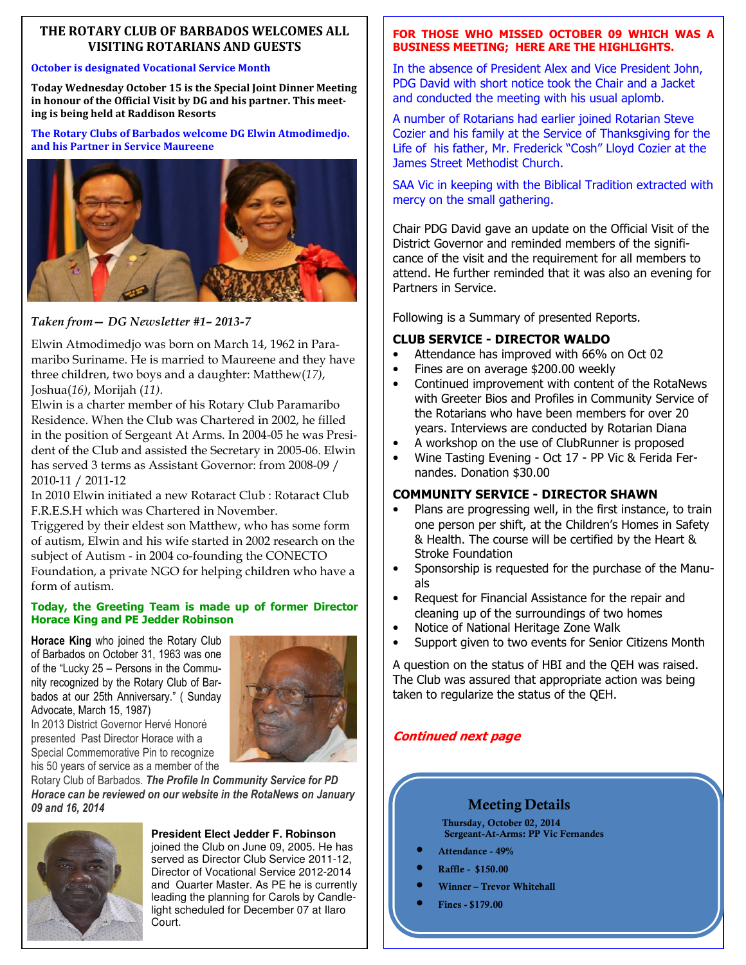# **THE ROTARY CLUB OF BARBADOS WELCOMES ALL VISITING ROTARIANS AND GUESTS**

### **October is designated Vocational Service Month**

**Today Wednesday October 15 is the Special Joint Dinner Meeting in honour of the Official Visit by DG and his partner. This meeting is being held at Raddison Resorts** 

**The Rotary Clubs of Barbados welcome DG Elwin Atmodimedjo. and his Partner in Service Maureene** 



*Taken from— DG Newsletter #1– 2013-7* 

Elwin Atmodimedjo was born on March 14, 1962 in Paramaribo Suriname. He is married to Maureene and they have three children, two boys and a daughter: Matthew(*17)*, Joshua(*16)*, Morijah (*11)*.

Elwin is a charter member of his Rotary Club Paramaribo Residence. When the Club was Chartered in 2002, he filled in the position of Sergeant At Arms. In 2004-05 he was President of the Club and assisted the Secretary in 2005-06. Elwin has served 3 terms as Assistant Governor: from 2008-09 / 2010-11 / 2011-12

In 2010 Elwin initiated a new Rotaract Club : Rotaract Club F.R.E.S.H which was Chartered in November.

Triggered by their eldest son Matthew, who has some form of autism, Elwin and his wife started in 2002 research on the subject of Autism - in 2004 co-founding the CONECTO Foundation, a private NGO for helping children who have a form of autism.

# **Today, the Greeting Team is made up of former Director Horace King and PE Jedder Robinson**

**Horace King** who joined the Rotary Club of Barbados on October 31, 1963 was one of the "Lucky 25 – Persons in the Community recognized by the Rotary Club of Barbados at our 25th Anniversary." ( Sunday Advocate, March 15, 1987)

In 2013 District Governor Hervé Honoré



presented Past Director Horace with a Special Commemorative Pin to recognize his 50 years of service as a member of the Rotary Club of Barbados. *The Profile In Community Service for PD* 

*Horace can be reviewed on our website in the RotaNews on January 09 and 16, 2014* 



### **President Elect Jedder F. Robinson**

joined the Club on June 09, 2005. He has served as Director Club Service 2011-12, Director of Vocational Service 2012-2014 and Quarter Master. As PE he is currently leading the planning for Carols by Candlelight scheduled for December 07 at Ilaro Court.

# **FOR THOSE WHO MISSED OCTOBER 09 WHICH WAS A BUSINESS MEETING; HERE ARE THE HIGHLIGHTS.**

In the absence of President Alex and Vice President John, PDG David with short notice took the Chair and a Jacket and conducted the meeting with his usual aplomb.

A number of Rotarians had earlier joined Rotarian Steve Cozier and his family at the Service of Thanksgiving for the Life of his father, Mr. Frederick "Cosh" Lloyd Cozier at the James Street Methodist Church.

SAA Vic in keeping with the Biblical Tradition extracted with mercy on the small gathering.

Chair PDG David gave an update on the Official Visit of the District Governor and reminded members of the significance of the visit and the requirement for all members to attend. He further reminded that it was also an evening for Partners in Service.

Following is a Summary of presented Reports.

# **CLUB SERVICE - DIRECTOR WALDO**

- Attendance has improved with 66% on Oct 02
- Fines are on average \$200.00 weekly
- Continued improvement with content of the RotaNews with Greeter Bios and Profiles in Community Service of the Rotarians who have been members for over 20 years. Interviews are conducted by Rotarian Diana
- A workshop on the use of ClubRunner is proposed
- Wine Tasting Evening Oct 17 PP Vic & Ferida Fernandes. Donation \$30.00

# **COMMUNITY SERVICE - DIRECTOR SHAWN**

- Plans are progressing well, in the first instance, to train one person per shift, at the Children's Homes in Safety & Health. The course will be certified by the Heart & Stroke Foundation
- Sponsorship is requested for the purchase of the Manuals
- Request for Financial Assistance for the repair and cleaning up of the surroundings of two homes
- Notice of National Heritage Zone Walk
- Support given to two events for Senior Citizens Month

A question on the status of HBI and the QEH was raised. The Club was assured that appropriate action was being taken to regularize the status of the QEH.

# **Continued next page**

# **Meeting Details**

**Thursday, October 02, 2014 Sergeant-At-Arms: PP Vic Fernandes** 

- **Attendance 49%**
- **Raffle \$150.00**
- **Winner Trevor Whitehall**
- **Fines \$179.00**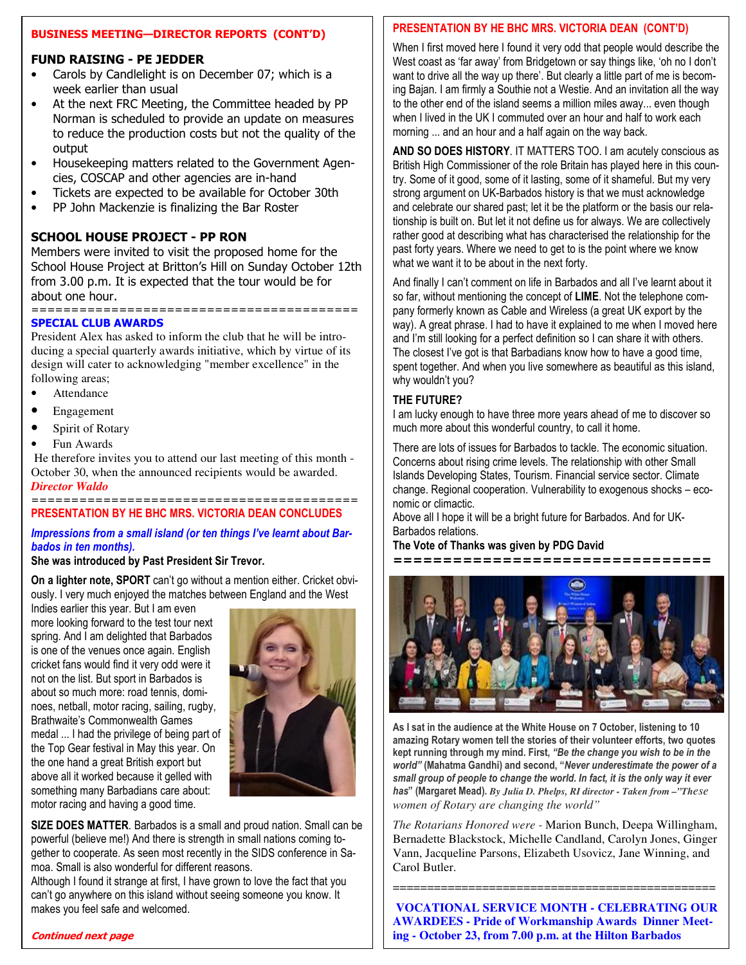# **BUSINESS MEETING—DIRECTOR REPORTS (CONT'D)**

# **FUND RAISING - PE JEDDER**

- Carols by Candlelight is on December 07; which is a week earlier than usual
- At the next FRC Meeting, the Committee headed by PP Norman is scheduled to provide an update on measures to reduce the production costs but not the quality of the output
- Housekeeping matters related to the Government Agencies, COSCAP and other agencies are in-hand
- Tickets are expected to be available for October 30th
- PP John Mackenzie is finalizing the Bar Roster

# **SCHOOL HOUSE PROJECT - PP RON**

Members were invited to visit the proposed home for the School House Project at Britton's Hill on Sunday October 12th from 3.00 p.m. It is expected that the tour would be for about one hour. =========================================

# **SPECIAL CLUB AWARDS**

President Alex has asked to inform the club that he will be introducing a special quarterly awards initiative, which by virtue of its design will cater to acknowledging "member excellence" in the following areas;

- Attendance
- Engagement
- Spirit of Rotary
- Fun Awards

 He therefore invites you to attend our last meeting of this month - October 30, when the announced recipients would be awarded. *Director Waldo* 

### ========================================= **PRESENTATION BY HE BHC MRS. VICTORIA DEAN CONCLUDES**

# *Impressions from a small island (or ten things I've learnt about Barbados in ten months).*

# **She was introduced by Past President Sir Trevor.**

**On a lighter note, SPORT** can't go without a mention either. Cricket obviously. I very much enjoyed the matches between England and the West

Indies earlier this year. But I am even more looking forward to the test tour next spring. And I am delighted that Barbados is one of the venues once again. English cricket fans would find it very odd were it not on the list. But sport in Barbados is about so much more: road tennis, dominoes, netball, motor racing, sailing, rugby, Brathwaite's Commonwealth Games medal ... I had the privilege of being part of the Top Gear festival in May this year. On the one hand a great British export but above all it worked because it gelled with something many Barbadians care about: motor racing and having a good time.



**SIZE DOES MATTER**. Barbados is a small and proud nation. Small can be powerful (believe me!) And there is strength in small nations coming together to cooperate. As seen most recently in the SIDS conference in Samoa. Small is also wonderful for different reasons.

Although I found it strange at first, I have grown to love the fact that you can't go anywhere on this island without seeing someone you know. It makes you feel safe and welcomed.

# **PRESENTATION BY HE BHC MRS. VICTORIA DEAN (CONT'D)**

When I first moved here I found it very odd that people would describe the West coast as 'far away' from Bridgetown or say things like, 'oh no I don't want to drive all the way up there'. But clearly a little part of me is becoming Bajan. I am firmly a Southie not a Westie. And an invitation all the way to the other end of the island seems a million miles away... even though when I lived in the UK I commuted over an hour and half to work each morning ... and an hour and a half again on the way back.

**AND SO DOES HISTORY**. IT MATTERS TOO. I am acutely conscious as British High Commissioner of the role Britain has played here in this country. Some of it good, some of it lasting, some of it shameful. But my very strong argument on UK-Barbados history is that we must acknowledge and celebrate our shared past; let it be the platform or the basis our relationship is built on. But let it not define us for always. We are collectively rather good at describing what has characterised the relationship for the past forty years. Where we need to get to is the point where we know what we want it to be about in the next forty.

And finally I can't comment on life in Barbados and all I've learnt about it so far, without mentioning the concept of **LIME**. Not the telephone company formerly known as Cable and Wireless (a great UK export by the way). A great phrase. I had to have it explained to me when I moved here and I'm still looking for a perfect definition so I can share it with others. The closest I've got is that Barbadians know how to have a good time, spent together. And when you live somewhere as beautiful as this island, why wouldn't you?

# **THE FUTURE?**

I am lucky enough to have three more years ahead of me to discover so much more about this wonderful country, to call it home.

There are lots of issues for Barbados to tackle. The economic situation. Concerns about rising crime levels. The relationship with other Small Islands Developing States, Tourism. Financial service sector. Climate change. Regional cooperation. Vulnerability to exogenous shocks – economic or climactic.

Above all I hope it will be a bright future for Barbados. And for UK-Barbados relations.

# **The Vote of Thanks was given by PDG David**

**================================** 



**As I sat in the audience at the White House on 7 October, listening to 10 amazing Rotary women tell the stories of their volunteer efforts, two quotes kept running through my mind. First,** *"Be the change you wish to be in the world"* **(Mahatma Gandhi) and second, "***Never underestimate the power of a small group of people to change the world. In fact, it is the only way it ever has***" (Margaret Mead).** *By Julia D. Phelps, RI director - Taken from –"These women of Rotary are changing the world"* 

*The Rotarians Honored were -* Marion Bunch, Deepa Willingham, Bernadette Blackstock, Michelle Candland, Carolyn Jones, Ginger Vann, Jacqueline Parsons, Elizabeth Usovicz, Jane Winning, and Carol Butler.

===============================================

**VOCATIONAL SERVICE MONTH - CELEBRATING OUR AWARDEES - Pride of Workmanship Awards Dinner Meeting - October 23, from 7.00 p.m. at the Hilton Barbados** 

# **Continued next page**